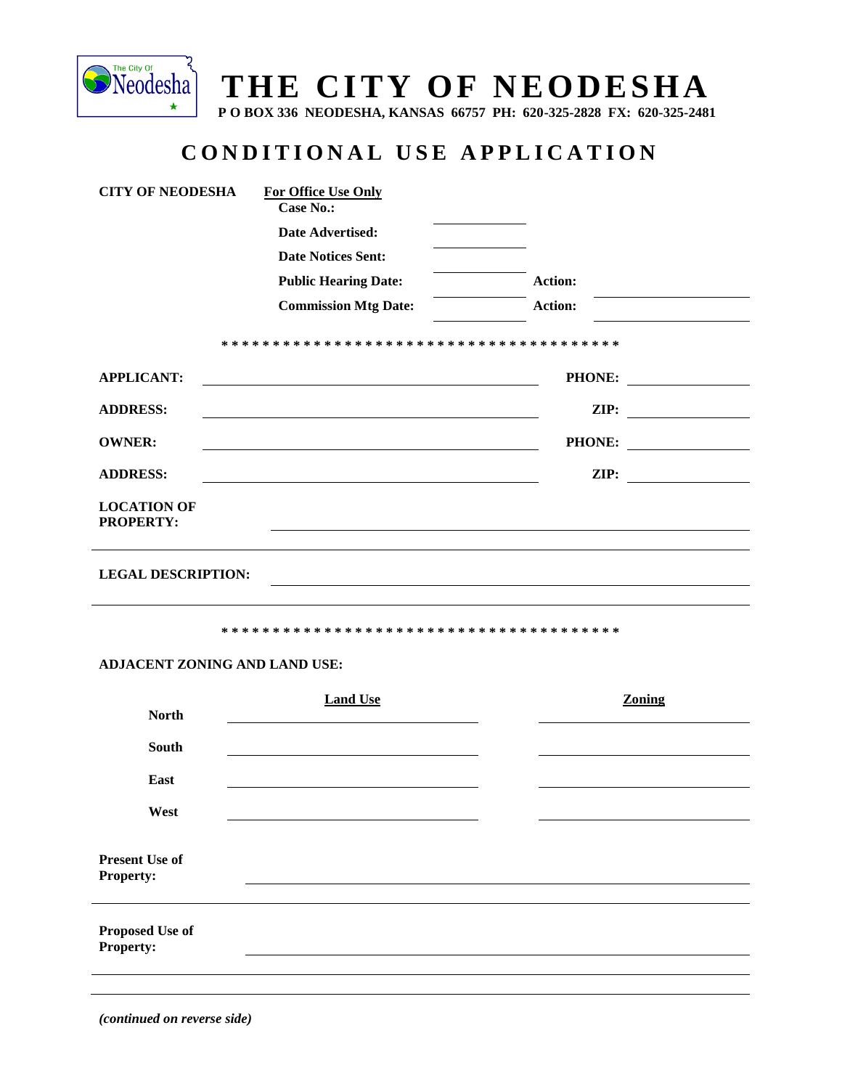

## THE CITY OF NEODESHA

P O BOX 336 NEODESHA, KANSAS 66757 PH: 620-325-2828 FX: 620-325-2481

## CONDITIONAL USE APPLICATION

|                                           | <b>Case No.:</b>            |                                                     |  |
|-------------------------------------------|-----------------------------|-----------------------------------------------------|--|
|                                           | Date Advertised:            |                                                     |  |
|                                           | <b>Date Notices Sent:</b>   |                                                     |  |
|                                           | <b>Public Hearing Date:</b> | Action:                                             |  |
|                                           | <b>Commission Mtg Date:</b> | <b>Action:</b>                                      |  |
|                                           |                             |                                                     |  |
|                                           |                             |                                                     |  |
| <b>APPLICANT:</b>                         |                             | PHONE:<br><u> 1970 - Jan Barat, prima politik (</u> |  |
| <b>ADDRESS:</b>                           |                             | ZIP:                                                |  |
| <b>OWNER:</b>                             |                             | PHONE:                                              |  |
| <b>ADDRESS:</b>                           |                             | $\mathbf{ZIP:}$                                     |  |
| <b>LOCATION OF</b><br><b>PROPERTY:</b>    |                             |                                                     |  |
| <b>LEGAL DESCRIPTION:</b>                 |                             |                                                     |  |
|                                           |                             |                                                     |  |
| ADJACENT ZONING AND LAND USE:             |                             |                                                     |  |
| <b>North</b>                              | <b>Land Use</b>             | Zoning                                              |  |
| South                                     |                             |                                                     |  |
| East                                      |                             |                                                     |  |
| West                                      |                             |                                                     |  |
| <b>Present Use of</b><br><b>Property:</b> |                             |                                                     |  |

(continued on reverse side)